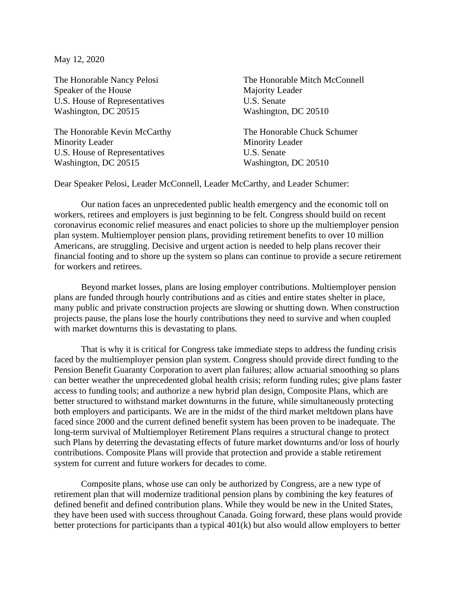May 12, 2020

The Honorable Nancy Pelosi Speaker of the House U.S. House of Representatives Washington, DC 20515

The Honorable Kevin McCarthy Minority Leader U.S. House of Representatives Washington, DC 20515

The Honorable Mitch McConnell Majority Leader U.S. Senate Washington, DC 20510

The Honorable Chuck Schumer Minority Leader U.S. Senate Washington, DC 20510

Dear Speaker Pelosi, Leader McConnell, Leader McCarthy, and Leader Schumer:

Our nation faces an unprecedented public health emergency and the economic toll on workers, retirees and employers is just beginning to be felt. Congress should build on recent coronavirus economic relief measures and enact policies to shore up the multiemployer pension plan system. Multiemployer pension plans, providing retirement benefits to over 10 million Americans, are struggling. Decisive and urgent action is needed to help plans recover their financial footing and to shore up the system so plans can continue to provide a secure retirement for workers and retirees.

Beyond market losses, plans are losing employer contributions. Multiemployer pension plans are funded through hourly contributions and as cities and entire states shelter in place, many public and private construction projects are slowing or shutting down. When construction projects pause, the plans lose the hourly contributions they need to survive and when coupled with market downturns this is devastating to plans.

That is why it is critical for Congress take immediate steps to address the funding crisis faced by the multiemployer pension plan system. Congress should provide direct funding to the Pension Benefit Guaranty Corporation to avert plan failures; allow actuarial smoothing so plans can better weather the unprecedented global health crisis; reform funding rules; give plans faster access to funding tools; and authorize a new hybrid plan design, Composite Plans, which are better structured to withstand market downturns in the future, while simultaneously protecting both employers and participants. We are in the midst of the third market meltdown plans have faced since 2000 and the current defined benefit system has been proven to be inadequate. The long-term survival of Multiemployer Retirement Plans requires a structural change to protect such Plans by deterring the devastating effects of future market downturns and/or loss of hourly contributions. Composite Plans will provide that protection and provide a stable retirement system for current and future workers for decades to come.

Composite plans, whose use can only be authorized by Congress, are a new type of retirement plan that will modernize traditional pension plans by combining the key features of defined benefit and defined contribution plans. While they would be new in the United States, they have been used with success throughout Canada. Going forward, these plans would provide better protections for participants than a typical 401(k) but also would allow employers to better